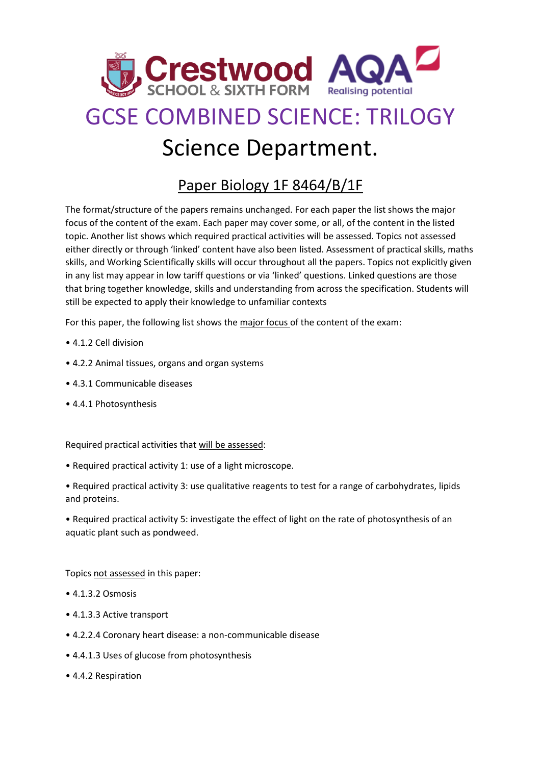

## GCSE COMBINED SCIENCE: TRILOGY Science Department.

## Paper Biology 1F 8464/B/1F

The format/structure of the papers remains unchanged. For each paper the list shows the major focus of the content of the exam. Each paper may cover some, or all, of the content in the listed topic. Another list shows which required practical activities will be assessed. Topics not assessed either directly or through 'linked' content have also been listed. Assessment of practical skills, maths skills, and Working Scientifically skills will occur throughout all the papers. Topics not explicitly given in any list may appear in low tariff questions or via 'linked' questions. Linked questions are those that bring together knowledge, skills and understanding from across the specification. Students will still be expected to apply their knowledge to unfamiliar contexts

For this paper, the following list shows the major focus of the content of the exam:

- 4.1.2 Cell division
- 4.2.2 Animal tissues, organs and organ systems
- 4.3.1 Communicable diseases
- 4.4.1 Photosynthesis

Required practical activities that will be assessed:

- Required practical activity 1: use of a light microscope.
- Required practical activity 3: use qualitative reagents to test for a range of carbohydrates, lipids and proteins.

• Required practical activity 5: investigate the effect of light on the rate of photosynthesis of an aquatic plant such as pondweed.

Topics not assessed in this paper:

- 4.1.3.2 Osmosis
- 4.1.3.3 Active transport
- 4.2.2.4 Coronary heart disease: a non-communicable disease
- 4.4.1.3 Uses of glucose from photosynthesis
- 4.4.2 Respiration